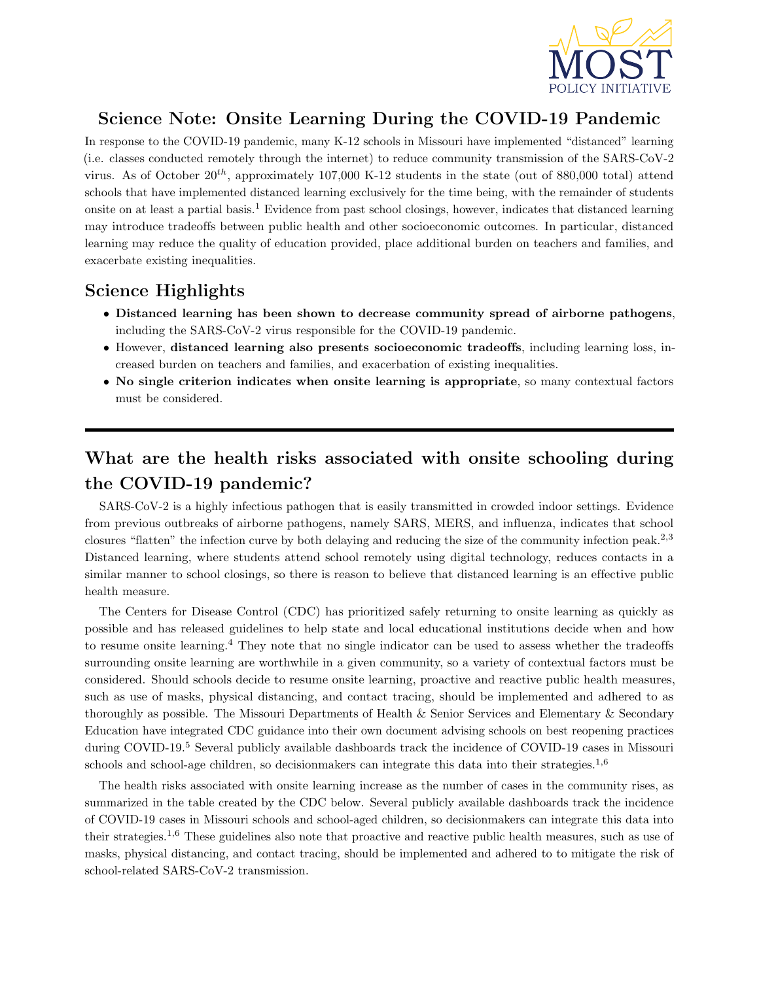

## Science Note: Onsite Learning During the COVID-19 Pandemic

In response to the COVID-19 pandemic, many K-12 schools in Missouri have implemented "distanced" learning (i.e. classes conducted remotely through the internet) to reduce community transmission of the SARS-CoV-2 virus. As of October  $20^{th}$ , approximately 107,000 K-12 students in the state (out of 880,000 total) attend schools that have implemented distanced learning exclusively for the time being, with the remainder of students onsite on at least a partial basis.<sup>1</sup> Evidence from past school closings, however, indicates that distanced learning may introduce tradeoffs between public health and other socioeconomic outcomes. In particular, distanced learning may reduce the quality of education provided, place additional burden on teachers and families, and exacerbate existing inequalities.

## Science Highlights

- Distanced learning has been shown to decrease community spread of airborne pathogens, including the SARS-CoV-2 virus responsible for the COVID-19 pandemic.
- However, distanced learning also presents socioeconomic tradeoffs, including learning loss, increased burden on teachers and families, and exacerbation of existing inequalities.
- No single criterion indicates when onsite learning is appropriate, so many contextual factors must be considered.

# What are the health risks associated with onsite schooling during the COVID-19 pandemic?

SARS-CoV-2 is a highly infectious pathogen that is easily transmitted in crowded indoor settings. Evidence from previous outbreaks of airborne pathogens, namely SARS, MERS, and influenza, indicates that school closures "flatten" the infection curve by both delaying and reducing the size of the community infection peak.<sup>2,3</sup> Distanced learning, where students attend school remotely using digital technology, reduces contacts in a similar manner to school closings, so there is reason to believe that distanced learning is an effective public health measure.

The Centers for Disease Control (CDC) has prioritized safely returning to onsite learning as quickly as possible and has released guidelines to help state and local educational institutions decide when and how to resume onsite learning.<sup>4</sup> They note that no single indicator can be used to assess whether the tradeoffs surrounding onsite learning are worthwhile in a given community, so a variety of contextual factors must be considered. Should schools decide to resume onsite learning, proactive and reactive public health measures, such as use of masks, physical distancing, and contact tracing, should be implemented and adhered to as thoroughly as possible. The Missouri Departments of Health & Senior Services and Elementary & Secondary Education have integrated CDC guidance into their own document advising schools on best reopening practices during COVID-19.<sup>5</sup> Several publicly available dashboards track the incidence of COVID-19 cases in Missouri schools and school-age children, so decision makers can integrate this data into their strategies.<sup>1,6</sup>

The health risks associated with onsite learning increase as the number of cases in the community rises, as summarized in the table created by the CDC below. Several publicly available dashboards track the incidence of COVID-19 cases in Missouri schools and school-aged children, so decisionmakers can integrate this data into their strategies.<sup>1</sup>,<sup>6</sup> These guidelines also note that proactive and reactive public health measures, such as use of masks, physical distancing, and contact tracing, should be implemented and adhered to to mitigate the risk of school-related SARS-CoV-2 transmission.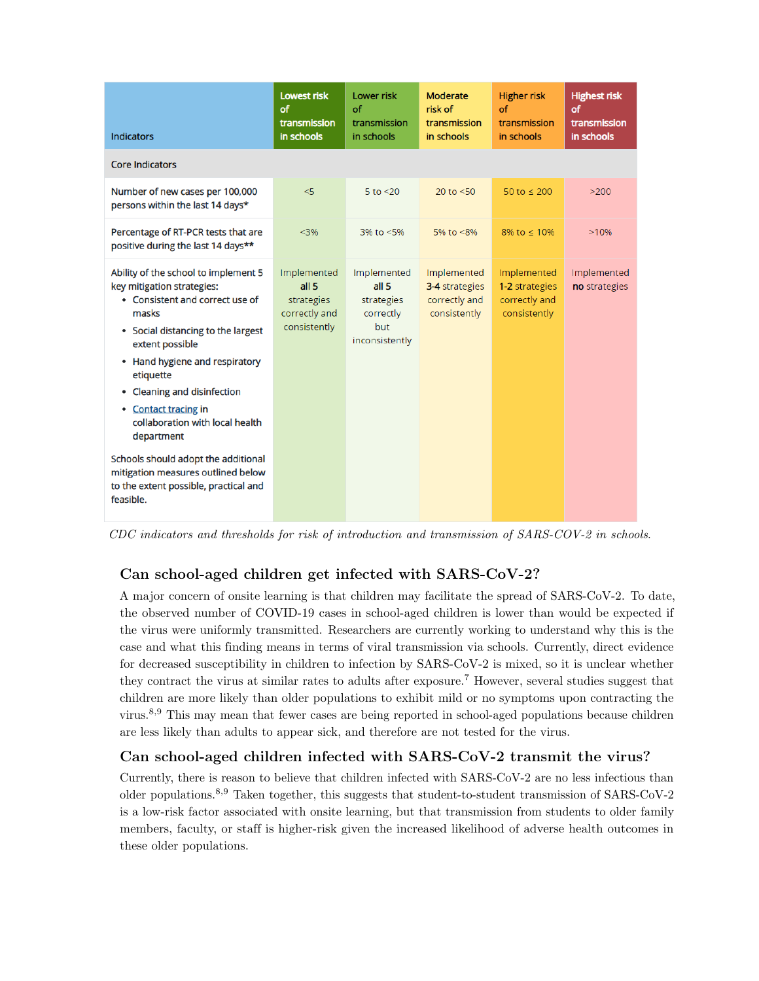| <b>Indicators</b>                                                                                                                                                                                                                                                                                                                                                                                                                                                 | <b>Lowest risk</b><br>of<br>transmission<br>in schools                         | <b>Lower risk</b><br>of<br>transmission<br>in schools                               | <b>Moderate</b><br>risk of<br>transmission<br>in schools       | <b>Higher risk</b><br>of<br>transmission<br>in schools         | <b>Highest risk</b><br>of<br>transmission<br>in schools |
|-------------------------------------------------------------------------------------------------------------------------------------------------------------------------------------------------------------------------------------------------------------------------------------------------------------------------------------------------------------------------------------------------------------------------------------------------------------------|--------------------------------------------------------------------------------|-------------------------------------------------------------------------------------|----------------------------------------------------------------|----------------------------------------------------------------|---------------------------------------------------------|
| <b>Core Indicators</b>                                                                                                                                                                                                                                                                                                                                                                                                                                            |                                                                                |                                                                                     |                                                                |                                                                |                                                         |
| Number of new cases per 100,000<br>persons within the last 14 days*                                                                                                                                                                                                                                                                                                                                                                                               | < 5                                                                            | $5$ to $<$ 20                                                                       | 20 to $< 50$                                                   | 50 to $\leq$ 200                                               | >200                                                    |
| Percentage of RT-PCR tests that are<br>positive during the last 14 days**                                                                                                                                                                                                                                                                                                                                                                                         | < 3%                                                                           | $3\%$ to $\leq 5\%$                                                                 | 5% to $<8\%$                                                   | 8% to $\leq 10\%$                                              | >10%                                                    |
| Ability of the school to implement 5<br>key mitigation strategies:<br>• Consistent and correct use of<br>masks<br>• Social distancing to the largest<br>extent possible<br>• Hand hygiene and respiratory<br>etiquette<br>• Cleaning and disinfection<br>• Contact tracing in<br>collaboration with local health<br>department<br>Schools should adopt the additional<br>mitigation measures outlined below<br>to the extent possible, practical and<br>feasible. | Implemented<br>all <sub>5</sub><br>strategies<br>correctly and<br>consistently | Implemented<br>all <sub>5</sub><br>strategies<br>correctly<br>but<br>inconsistently | Implemented<br>3-4 strategies<br>correctly and<br>consistently | Implemented<br>1-2 strategies<br>correctly and<br>consistently | Implemented<br>no strategies                            |

CDC indicators and thresholds for risk of introduction and transmission of SARS-COV-2 in schools.

### Can school-aged children get infected with SARS-CoV-2?

A major concern of onsite learning is that children may facilitate the spread of SARS-CoV-2. To date, the observed number of COVID-19 cases in school-aged children is lower than would be expected if the virus were uniformly transmitted. Researchers are currently working to understand why this is the case and what this finding means in terms of viral transmission via schools. Currently, direct evidence for decreased susceptibility in children to infection by SARS-CoV-2 is mixed, so it is unclear whether they contract the virus at similar rates to adults after exposure.<sup>7</sup> However, several studies suggest that children are more likely than older populations to exhibit mild or no symptoms upon contracting the virus.8,<sup>9</sup> This may mean that fewer cases are being reported in school-aged populations because children are less likely than adults to appear sick, and therefore are not tested for the virus.

#### Can school-aged children infected with SARS-CoV-2 transmit the virus?

Currently, there is reason to believe that children infected with SARS-CoV-2 are no less infectious than older populations.<sup>8</sup>,<sup>9</sup> Taken together, this suggests that student-to-student transmission of SARS-CoV-2 is a low-risk factor associated with onsite learning, but that transmission from students to older family members, faculty, or staff is higher-risk given the increased likelihood of adverse health outcomes in these older populations.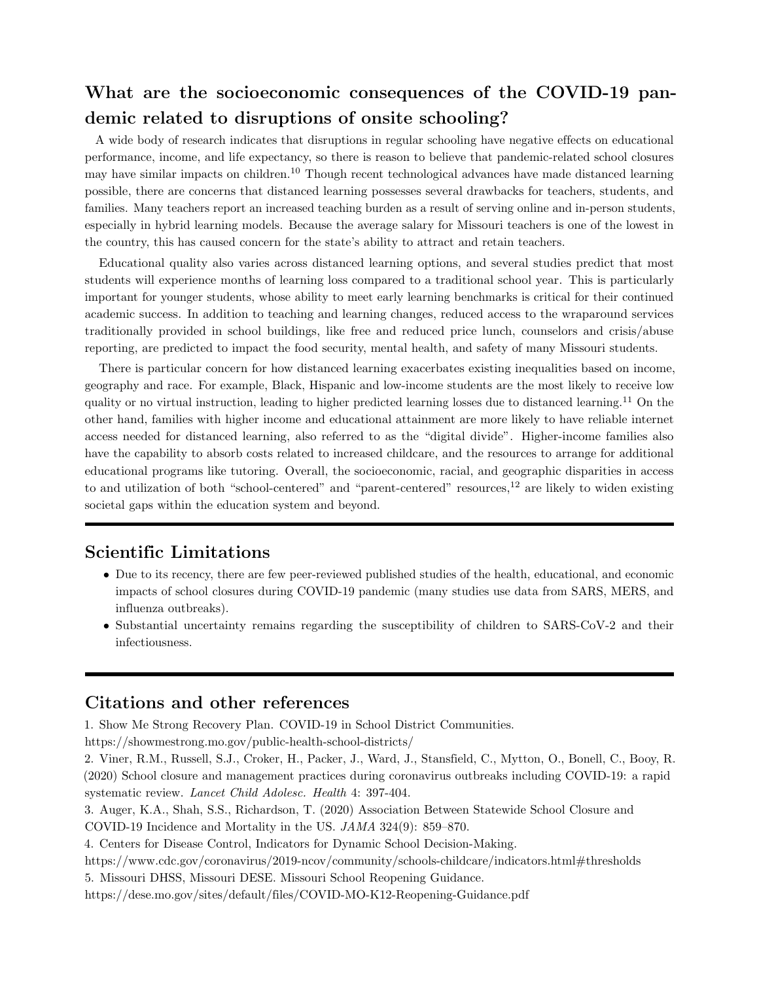# What are the socioeconomic consequences of the COVID-19 pandemic related to disruptions of onsite schooling?

A wide body of research indicates that disruptions in regular schooling have negative effects on educational performance, income, and life expectancy, so there is reason to believe that pandemic-related school closures may have similar impacts on children.<sup>10</sup> Though recent technological advances have made distanced learning possible, there are concerns that distanced learning possesses several drawbacks for teachers, students, and families. Many teachers report an increased teaching burden as a result of serving online and in-person students, especially in hybrid learning models. Because the average salary for Missouri teachers is one of the lowest in the country, this has caused concern for the state's ability to attract and retain teachers.

Educational quality also varies across distanced learning options, and several studies predict that most students will experience months of learning loss compared to a traditional school year. This is particularly important for younger students, whose ability to meet early learning benchmarks is critical for their continued academic success. In addition to teaching and learning changes, reduced access to the wraparound services traditionally provided in school buildings, like free and reduced price lunch, counselors and crisis/abuse reporting, are predicted to impact the food security, mental health, and safety of many Missouri students.

There is particular concern for how distanced learning exacerbates existing inequalities based on income, geography and race. For example, Black, Hispanic and low-income students are the most likely to receive low quality or no virtual instruction, leading to higher predicted learning losses due to distanced learning.<sup>11</sup> On the other hand, families with higher income and educational attainment are more likely to have reliable internet access needed for distanced learning, also referred to as the "digital divide". Higher-income families also have the capability to absorb costs related to increased childcare, and the resources to arrange for additional educational programs like tutoring. Overall, the socioeconomic, racial, and geographic disparities in access to and utilization of both "school-centered" and "parent-centered" resources, $^{12}$  are likely to widen existing societal gaps within the education system and beyond.

## Scientific Limitations

- Due to its recency, there are few peer-reviewed published studies of the health, educational, and economic impacts of school closures during COVID-19 pandemic (many studies use data from SARS, MERS, and influenza outbreaks).
- Substantial uncertainty remains regarding the susceptibility of children to SARS-CoV-2 and their infectiousness.

### Citations and other references

1. Show Me Strong Recovery Plan. COVID-19 in School District Communities.

https://showmestrong.mo.gov/public-health-school-districts/

2. Viner, R.M., Russell, S.J., Croker, H., Packer, J., Ward, J., Stansfield, C., Mytton, O., Bonell, C., Booy, R. (2020) School closure and management practices during coronavirus outbreaks including COVID-19: a rapid systematic review. Lancet Child Adolesc. Health 4: 397-404.

3. Auger, K.A., Shah, S.S., Richardson, T. (2020) Association Between Statewide School Closure and COVID-19 Incidence and Mortality in the US. JAMA 324(9): 859–870.

4. Centers for Disease Control, Indicators for Dynamic School Decision-Making.

https://www.cdc.gov/coronavirus/2019-ncov/community/schools-childcare/indicators.html#thresholds

5. Missouri DHSS, Missouri DESE. Missouri School Reopening Guidance.

https://dese.mo.gov/sites/default/files/COVID-MO-K12-Reopening-Guidance.pdf